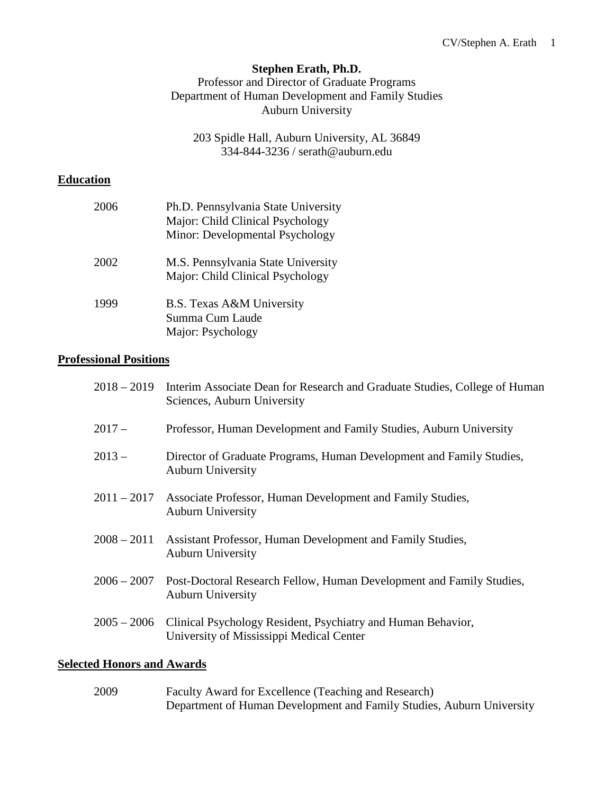# **Stephen Erath, Ph.D.**

Professor and Director of Graduate Programs Department of Human Development and Family Studies Auburn University

203 Spidle Hall, Auburn University, AL 36849 334-844-3236 / serath@auburn.edu

# **Education**

| 2006 | Ph.D. Pennsylvania State University<br>Major: Child Clinical Psychology<br>Minor: Developmental Psychology |
|------|------------------------------------------------------------------------------------------------------------|
| 2002 | M.S. Pennsylvania State University<br>Major: Child Clinical Psychology                                     |
| 1999 | B.S. Texas A&M University<br>Summa Cum Laude<br>Major: Psychology                                          |

# **Professional Positions**

| $2018 - 2019$ | Interim Associate Dean for Research and Graduate Studies, College of Human<br>Sciences, Auburn University            |
|---------------|----------------------------------------------------------------------------------------------------------------------|
| $2017-$       | Professor, Human Development and Family Studies, Auburn University                                                   |
| $2013 -$      | Director of Graduate Programs, Human Development and Family Studies,<br><b>Auburn University</b>                     |
| $2011 - 2017$ | Associate Professor, Human Development and Family Studies,<br><b>Auburn University</b>                               |
| $2008 - 2011$ | Assistant Professor, Human Development and Family Studies,<br><b>Auburn University</b>                               |
| $2006 - 2007$ | Post-Doctoral Research Fellow, Human Development and Family Studies,<br><b>Auburn University</b>                     |
|               | 2005 – 2006 Clinical Psychology Resident, Psychiatry and Human Behavior,<br>University of Mississippi Medical Center |
|               |                                                                                                                      |

# **Selected Honors and Awards**

2009 Faculty Award for Excellence (Teaching and Research) Department of Human Development and Family Studies, Auburn University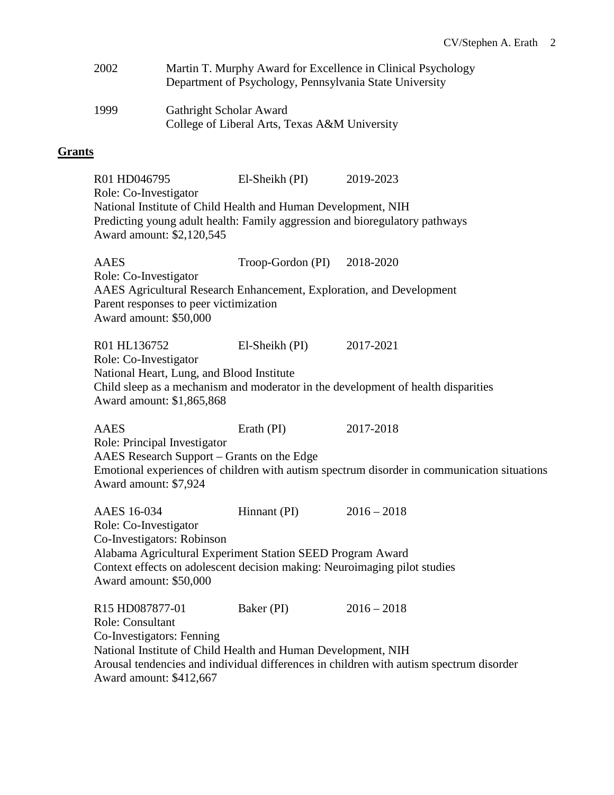| 2002 | Martin T. Murphy Award for Excellence in Clinical Psychology<br>Department of Psychology, Pennsylvania State University |
|------|-------------------------------------------------------------------------------------------------------------------------|
| 1999 | Gathright Scholar Award<br>College of Liberal Arts, Texas A&M University                                                |

### **Grants**

R01 HD046795 El-Sheikh (PI) 2019-2023 Role: Co-Investigator National Institute of Child Health and Human Development, NIH Predicting young adult health: Family aggression and bioregulatory pathways Award amount: \$2,120,545 AAES Troop-Gordon (PI) 2018-2020 Role: Co-Investigator AAES Agricultural Research Enhancement, Exploration, and Development Parent responses to peer victimization Award amount: \$50,000 R01 HL136752 El-Sheikh (PI) 2017-2021 Role: Co-Investigator National Heart, Lung, and Blood Institute Child sleep as a mechanism and moderator in the development of health disparities Award amount: \$1,865,868 AAES Erath (PI) 2017-2018 Role: Principal Investigator AAES Research Support – Grants on the Edge

Emotional experiences of children with autism spectrum disorder in communication situations Award amount: \$7,924

| AAES 16-034                                                   | Hinnant (PI) | $2016 - 2018$                                                                           |  |
|---------------------------------------------------------------|--------------|-----------------------------------------------------------------------------------------|--|
| Role: Co-Investigator                                         |              |                                                                                         |  |
| Co-Investigators: Robinson                                    |              |                                                                                         |  |
| Alabama Agricultural Experiment Station SEED Program Award    |              |                                                                                         |  |
|                                                               |              | Context effects on adolescent decision making: Neuroimaging pilot studies               |  |
| Award amount: \$50,000                                        |              |                                                                                         |  |
|                                                               |              |                                                                                         |  |
| R <sub>15</sub> HD <sub>087877</sub> -01                      | Baker (PI)   | $2016 - 2018$                                                                           |  |
| Role: Consultant                                              |              |                                                                                         |  |
| Co-Investigators: Fenning                                     |              |                                                                                         |  |
| National Institute of Child Health and Human Development, NIH |              |                                                                                         |  |
|                                                               |              | Arousal tendencies and individual differences in children with autism spectrum disorder |  |
| Award amount: \$412,667                                       |              |                                                                                         |  |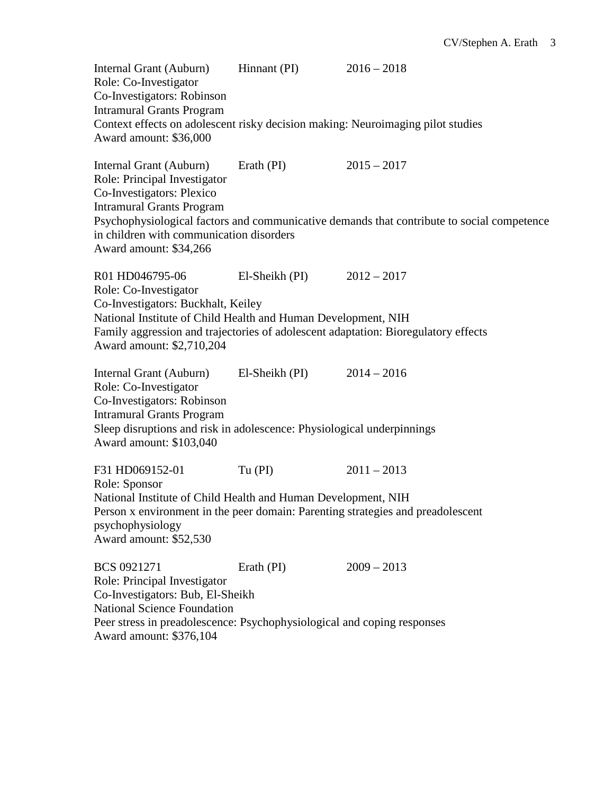Internal Grant (Auburn) Hinnant (PI) 2016 – 2018 Role: Co-Investigator Co-Investigators: Robinson Intramural Grants Program Context effects on adolescent risky decision making: Neuroimaging pilot studies Award amount: \$36,000 Internal Grant (Auburn) Erath (PI) 2015 – 2017 Role: Principal Investigator Co-Investigators: Plexico Intramural Grants Program Psychophysiological factors and communicative demands that contribute to social competence in children with communication disorders Award amount: \$34,266 R01 HD046795-06 El-Sheikh (PI) 2012 – 2017 Role: Co-Investigator Co-Investigators: Buckhalt, Keiley National Institute of Child Health and Human Development, NIH Family aggression and trajectories of adolescent adaptation: Bioregulatory effects Award amount: \$2,710,204 Internal Grant (Auburn) El-Sheikh (PI) 2014 – 2016 Role: Co-Investigator Co-Investigators: Robinson Intramural Grants Program Sleep disruptions and risk in adolescence: Physiological underpinnings Award amount: \$103,040 F31 HD069152-01 Tu (PI) 2011 – 2013 Role: Sponsor National Institute of Child Health and Human Development, NIH Person x environment in the peer domain: Parenting strategies and preadolescent psychophysiology Award amount: \$52,530 BCS 0921271 Erath (PI) 2009 – 2013 Role: Principal Investigator Co-Investigators: Bub, El-Sheikh National Science Foundation Peer stress in preadolescence: Psychophysiological and coping responses

Award amount: \$376,104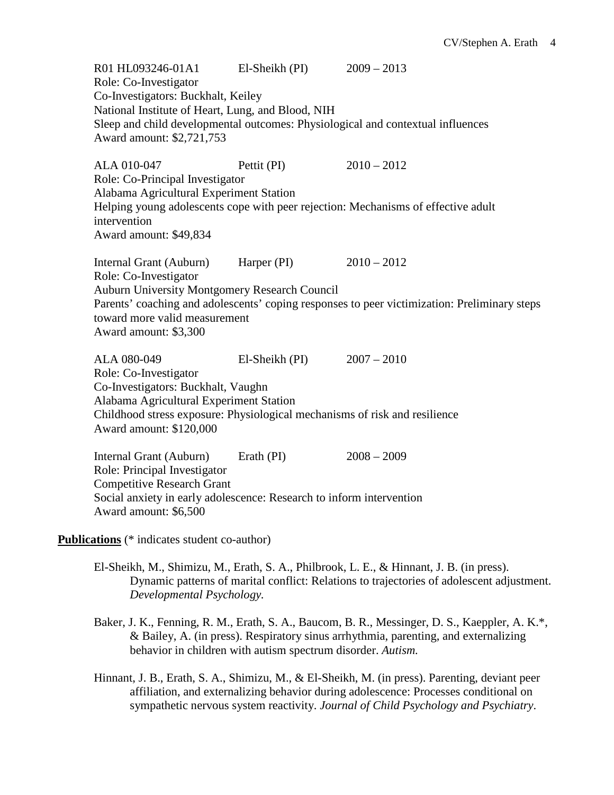R01 HL093246-01A1 El-Sheikh (PI) 2009 – 2013 Role: Co-Investigator Co-Investigators: Buckhalt, Keiley National Institute of Heart, Lung, and Blood, NIH Sleep and child developmental outcomes: Physiological and contextual influences Award amount: \$2,721,753 ALA 010-047 Pettit (PI) 2010 – 2012 Role: Co-Principal Investigator Alabama Agricultural Experiment Station Helping young adolescents cope with peer rejection: Mechanisms of effective adult intervention Award amount: \$49,834 Internal Grant (Auburn) Harper (PI) 2010 – 2012 Role: Co-Investigator Auburn University Montgomery Research Council Parents' coaching and adolescents' coping responses to peer victimization: Preliminary steps toward more valid measurement Award amount: \$3,300 ALA 080-049 El-Sheikh (PI) 2007 – 2010 Role: Co-Investigator Co-Investigators: Buckhalt, Vaughn Alabama Agricultural Experiment Station Childhood stress exposure: Physiological mechanisms of risk and resilience Award amount: \$120,000 Internal Grant (Auburn) Erath (PI) 2008 – 2009 Role: Principal Investigator Competitive Research Grant Social anxiety in early adolescence: Research to inform intervention Award amount: \$6,500 **Publications** (\* indicates student co-author)

- El-Sheikh, M., Shimizu, M., Erath, S. A., Philbrook, L. E., & Hinnant, J. B. (in press). Dynamic patterns of marital conflict: Relations to trajectories of adolescent adjustment. *Developmental Psychology.*
- Baker, J. K., Fenning, R. M., Erath, S. A., Baucom, B. R., Messinger, D. S., Kaeppler, A. K.\*, & Bailey, A. (in press). Respiratory sinus arrhythmia, parenting, and externalizing behavior in children with autism spectrum disorder. *Autism.*
- Hinnant, J. B., Erath, S. A., Shimizu, M., & El-Sheikh, M. (in press). Parenting, deviant peer affiliation, and externalizing behavior during adolescence: Processes conditional on sympathetic nervous system reactivity. *Journal of Child Psychology and Psychiatry*.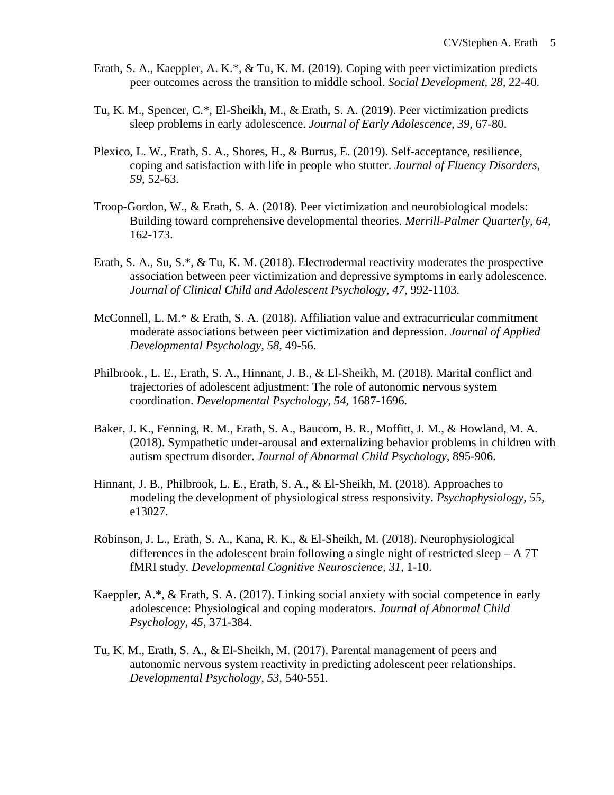- Erath, S. A., Kaeppler, A. K.\*, & Tu, K. M. (2019). Coping with peer victimization predicts peer outcomes across the transition to middle school. *Social Development, 28,* 22-40*.*
- Tu, K. M., Spencer, C.\*, El-Sheikh, M., & Erath, S. A. (2019). Peer victimization predicts sleep problems in early adolescence. *Journal of Early Adolescence, 39,* 67-80.
- Plexico, L. W., Erath, S. A., Shores, H., & Burrus, E. (2019). Self-acceptance, resilience, coping and satisfaction with life in people who stutter. *Journal of Fluency Disorders, 59,* 52-63.
- Troop-Gordon, W., & Erath, S. A. (2018). Peer victimization and neurobiological models: Building toward comprehensive developmental theories. *Merrill-Palmer Quarterly, 64,*  162-173.
- Erath, S. A., Su, S.\*, & Tu, K. M. (2018). Electrodermal reactivity moderates the prospective association between peer victimization and depressive symptoms in early adolescence. *Journal of Clinical Child and Adolescent Psychology, 47,* 992-1103.
- McConnell, L. M.\* & Erath, S. A. (2018). Affiliation value and extracurricular commitment moderate associations between peer victimization and depression. *Journal of Applied Developmental Psychology, 58,* 49-56.
- Philbrook., L. E., Erath, S. A., Hinnant, J. B., & El-Sheikh, M. (2018). Marital conflict and trajectories of adolescent adjustment: The role of autonomic nervous system coordination. *Developmental Psychology, 54,* 1687-1696.
- Baker, J. K., Fenning, R. M., Erath, S. A., Baucom, B. R., Moffitt, J. M., & Howland, M. A. (2018). Sympathetic under-arousal and externalizing behavior problems in children with autism spectrum disorder. *Journal of Abnormal Child Psychology,* 895-906.
- Hinnant, J. B., Philbrook, L. E., Erath, S. A., & El-Sheikh, M. (2018). Approaches to modeling the development of physiological stress responsivity. *Psychophysiology, 55,*  e13027*.*
- Robinson, J. L., Erath, S. A., Kana, R. K., & El-Sheikh, M. (2018). Neurophysiological differences in the adolescent brain following a single night of restricted sleep  $- A 7T$ fMRI study. *Developmental Cognitive Neuroscience, 31,* 1-10.
- Kaeppler, A.\*, & Erath, S. A. (2017). Linking social anxiety with social competence in early adolescence: Physiological and coping moderators. *Journal of Abnormal Child Psychology, 45,* 371-384.
- Tu, K. M., Erath, S. A., & El-Sheikh, M. (2017). Parental management of peers and autonomic nervous system reactivity in predicting adolescent peer relationships. *Developmental Psychology, 53,* 540-551*.*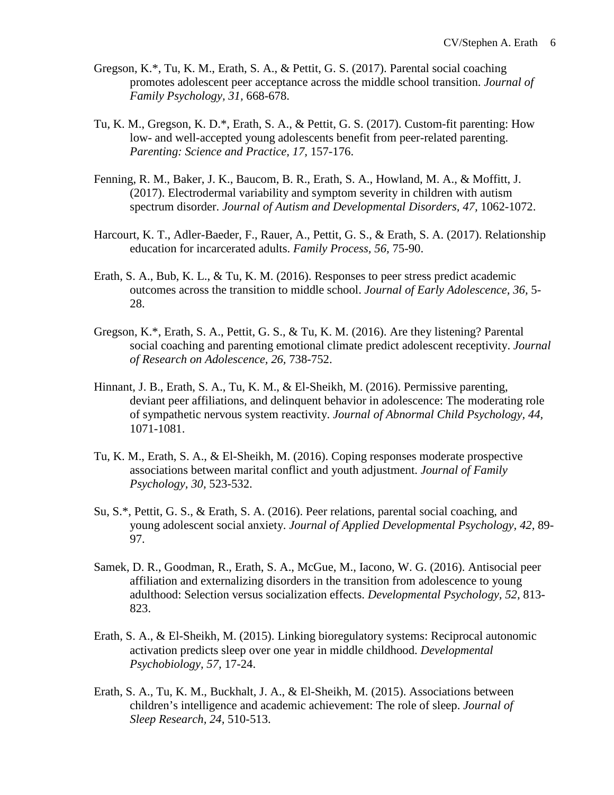- Gregson, K.\*, Tu, K. M., Erath, S. A., & Pettit, G. S. (2017). Parental social coaching promotes adolescent peer acceptance across the middle school transition. *Journal of Family Psychology, 31,* 668-678.
- Tu, K. M., Gregson, K. D.\*, Erath, S. A., & Pettit, G. S. (2017). Custom-fit parenting: How low- and well-accepted young adolescents benefit from peer-related parenting. *Parenting: Science and Practice, 17,* 157-176.
- Fenning, R. M., Baker, J. K., Baucom, B. R., Erath, S. A., Howland, M. A., & Moffitt, J. (2017). Electrodermal variability and symptom severity in children with autism spectrum disorder. *Journal of Autism and Developmental Disorders, 47,* 1062-1072.
- Harcourt, K. T., Adler-Baeder, F., Rauer, A., Pettit, G. S., & Erath, S. A. (2017). Relationship education for incarcerated adults. *Family Process, 56,* 75-90.
- Erath, S. A., Bub, K. L., & Tu, K. M. (2016). Responses to peer stress predict academic outcomes across the transition to middle school. *Journal of Early Adolescence, 36,* 5- 28.
- Gregson, K.\*, Erath, S. A., Pettit, G. S., & Tu, K. M. (2016). Are they listening? Parental social coaching and parenting emotional climate predict adolescent receptivity. *Journal of Research on Adolescence, 26,* 738-752.
- Hinnant, J. B., Erath, S. A., Tu, K. M., & El-Sheikh, M. (2016). Permissive parenting, deviant peer affiliations, and delinquent behavior in adolescence: The moderating role of sympathetic nervous system reactivity. *Journal of Abnormal Child Psychology, 44,* 1071-1081.
- Tu, K. M., Erath, S. A., & El-Sheikh, M. (2016). Coping responses moderate prospective associations between marital conflict and youth adjustment. *Journal of Family Psychology, 30,* 523-532.
- Su, S.\*, Pettit, G. S., & Erath, S. A. (2016). Peer relations, parental social coaching, and young adolescent social anxiety. *Journal of Applied Developmental Psychology, 42,* 89- 97.
- Samek, D. R., Goodman, R., Erath, S. A., McGue, M., Iacono, W. G. (2016). Antisocial peer affiliation and externalizing disorders in the transition from adolescence to young adulthood: Selection versus socialization effects. *Developmental Psychology, 52,* 813- 823.
- Erath, S. A., & El-Sheikh, M. (2015). Linking bioregulatory systems: Reciprocal autonomic activation predicts sleep over one year in middle childhood. *Developmental Psychobiology, 57,* 17-24.
- Erath, S. A., Tu, K. M., Buckhalt, J. A., & El-Sheikh, M. (2015). Associations between children's intelligence and academic achievement: The role of sleep. *Journal of Sleep Research, 24,* 510-513.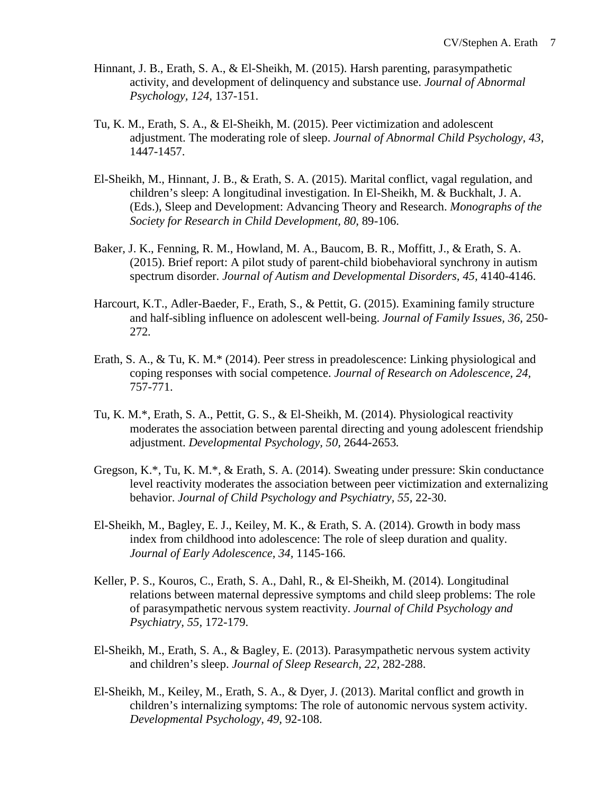- Hinnant, J. B., Erath, S. A., & El-Sheikh, M. (2015). Harsh parenting, parasympathetic activity, and development of delinquency and substance use. *Journal of Abnormal Psychology, 124,* 137-151.
- Tu, K. M., Erath, S. A., & El-Sheikh, M. (2015). Peer victimization and adolescent adjustment. The moderating role of sleep. *Journal of Abnormal Child Psychology, 43,*  1447-1457.
- El-Sheikh, M., Hinnant, J. B., & Erath, S. A. (2015). Marital conflict, vagal regulation, and children's sleep: A longitudinal investigation. In El-Sheikh, M. & Buckhalt, J. A. (Eds.), Sleep and Development: Advancing Theory and Research. *Monographs of the Society for Research in Child Development, 80,* 89-106.
- Baker, J. K., Fenning, R. M., Howland, M. A., Baucom, B. R., Moffitt, J., & Erath, S. A. (2015). Brief report: A pilot study of parent-child biobehavioral synchrony in autism spectrum disorder. *Journal of Autism and Developmental Disorders, 45,* 4140-4146.
- Harcourt, K.T., Adler-Baeder, F., Erath, S., & Pettit, G. (2015). Examining family structure and half-sibling influence on adolescent well-being. *Journal of Family Issues, 36,* 250- 272*.*
- Erath, S. A., & Tu, K. M.\* (2014). Peer stress in preadolescence: Linking physiological and coping responses with social competence. *Journal of Research on Adolescence, 24,* 757-771.
- Tu, K. M.\*, Erath, S. A., Pettit, G. S., & El-Sheikh, M. (2014). Physiological reactivity moderates the association between parental directing and young adolescent friendship adjustment. *Developmental Psychology, 50,* 2644-2653*.*
- Gregson, K.\*, Tu, K. M.\*, & Erath, S. A. (2014). Sweating under pressure: Skin conductance level reactivity moderates the association between peer victimization and externalizing behavior. *Journal of Child Psychology and Psychiatry, 55,* 22-30.
- El-Sheikh, M., Bagley, E. J., Keiley, M. K., & Erath, S. A. (2014). Growth in body mass index from childhood into adolescence: The role of sleep duration and quality. *Journal of Early Adolescence, 34,* 1145-166.
- Keller, P. S., Kouros, C., Erath, S. A., Dahl, R., & El-Sheikh, M. (2014). Longitudinal relations between maternal depressive symptoms and child sleep problems: The role of parasympathetic nervous system reactivity. *Journal of Child Psychology and Psychiatry, 55,* 172-179.
- El-Sheikh, M., Erath, S. A., & Bagley, E. (2013). Parasympathetic nervous system activity and children's sleep. *Journal of Sleep Research, 22,* 282-288.
- El-Sheikh, M., Keiley, M., Erath, S. A., & Dyer, J. (2013). Marital conflict and growth in children's internalizing symptoms: The role of autonomic nervous system activity. *Developmental Psychology, 49,* 92-108.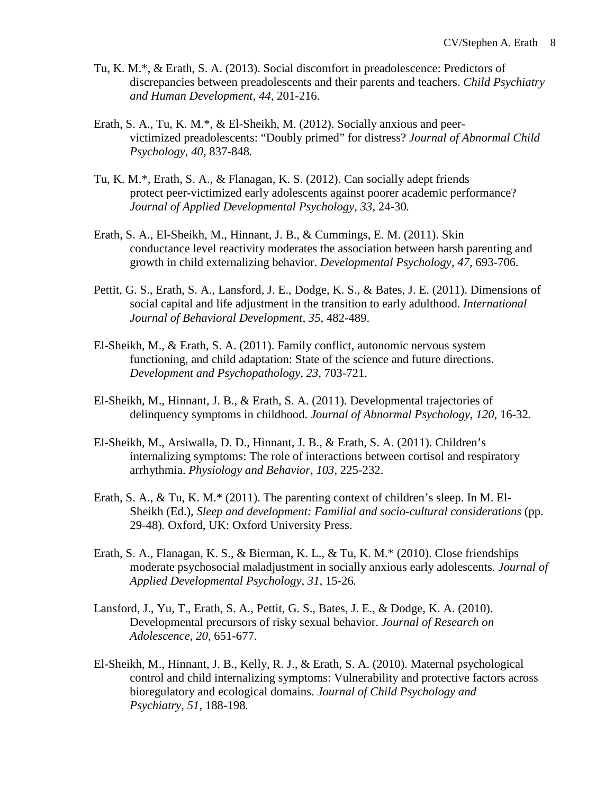- Tu, K. M.\*, & Erath, S. A. (2013). Social discomfort in preadolescence: Predictors of discrepancies between preadolescents and their parents and teachers. *Child Psychiatry and Human Development, 44,* 201-216.
- Erath, S. A., Tu, K. M.\*, & El-Sheikh, M. (2012). Socially anxious and peervictimized preadolescents: "Doubly primed" for distress? *Journal of Abnormal Child Psychology, 40,* 837-848*.*
- Tu, K. M.\*, Erath, S. A., & Flanagan, K. S. (2012). Can socially adept friends protect peer-victimized early adolescents against poorer academic performance? *Journal of Applied Developmental Psychology, 33,* 24-30*.*
- Erath, S. A., El-Sheikh, M., Hinnant, J. B., & Cummings, E. M. (2011). Skin conductance level reactivity moderates the association between harsh parenting and growth in child externalizing behavior. *Developmental Psychology, 47,* 693-706*.*
- Pettit, G. S., Erath, S. A., Lansford, J. E., Dodge, K. S., & Bates, J. E. (2011). Dimensions of social capital and life adjustment in the transition to early adulthood. *International Journal of Behavioral Development, 35,* 482-489.
- El-Sheikh, M., & Erath, S. A. (2011). Family conflict, autonomic nervous system functioning, and child adaptation: State of the science and future directions. *Development and Psychopathology, 23,* 703-721.
- El-Sheikh, M., Hinnant, J. B., & Erath, S. A. (2011). Developmental trajectories of delinquency symptoms in childhood. *Journal of Abnormal Psychology, 120,* 16-32*.*
- El-Sheikh, M., Arsiwalla, D. D., Hinnant, J. B., & Erath, S. A. (2011). Children's internalizing symptoms: The role of interactions between cortisol and respiratory arrhythmia. *Physiology and Behavior, 103,* 225-232.
- Erath, S. A., & Tu, K. M.\* (2011). The parenting context of children's sleep. In M. El-Sheikh (Ed.), *Sleep and development: Familial and socio-cultural considerations* (pp. 29-48)*.* Oxford, UK: Oxford University Press.
- Erath, S. A., Flanagan, K. S., & Bierman, K. L., & Tu, K. M.\* (2010). Close friendships moderate psychosocial maladjustment in socially anxious early adolescents. *Journal of Applied Developmental Psychology, 31,* 15-26*.*
- Lansford, J., Yu, T., Erath, S. A., Pettit, G. S., Bates, J. E., & Dodge, K. A. (2010). Developmental precursors of risky sexual behavior. *Journal of Research on Adolescence, 20,* 651-677*.*
- El-Sheikh, M., Hinnant, J. B., Kelly, R. J., & Erath, S. A. (2010). Maternal psychological control and child internalizing symptoms: Vulnerability and protective factors across bioregulatory and ecological domains. *Journal of Child Psychology and Psychiatry, 51,* 188-198*.*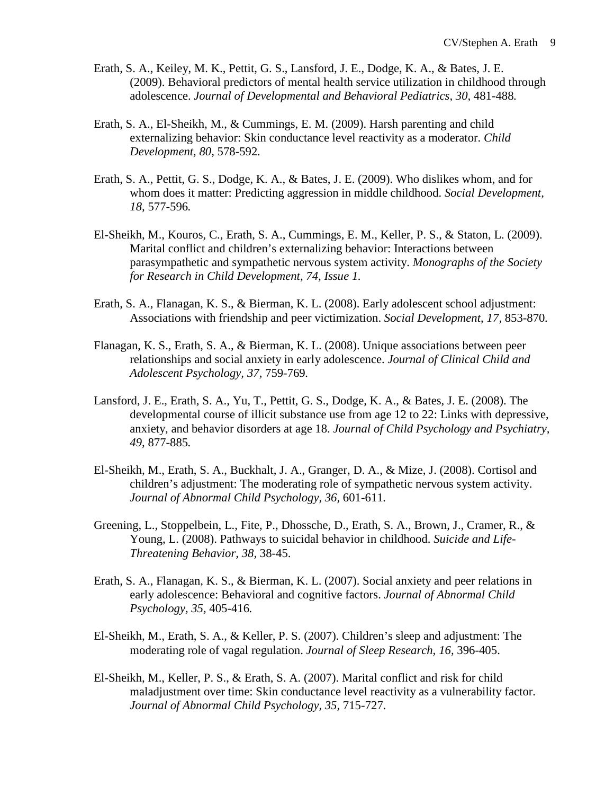- Erath, S. A., Keiley, M. K., Pettit, G. S., Lansford, J. E., Dodge, K. A., & Bates, J. E. (2009). Behavioral predictors of mental health service utilization in childhood through adolescence. *Journal of Developmental and Behavioral Pediatrics, 30,* 481-488*.*
- Erath, S. A., El-Sheikh, M., & Cummings, E. M. (2009). Harsh parenting and child externalizing behavior: Skin conductance level reactivity as a moderator. *Child Development, 80,* 578-592*.*
- Erath, S. A., Pettit, G. S., Dodge, K. A., & Bates, J. E. (2009). Who dislikes whom, and for whom does it matter: Predicting aggression in middle childhood. *Social Development, 18,* 577-596*.*
- El-Sheikh, M., Kouros, C., Erath, S. A., Cummings, E. M., Keller, P. S., & Staton, L. (2009). Marital conflict and children's externalizing behavior: Interactions between parasympathetic and sympathetic nervous system activity. *Monographs of the Society for Research in Child Development, 74, Issue 1.*
- Erath, S. A., Flanagan, K. S., & Bierman, K. L. (2008). Early adolescent school adjustment: Associations with friendship and peer victimization. *Social Development, 17,* 853-870*.*
- Flanagan, K. S., Erath, S. A., & Bierman, K. L. (2008). Unique associations between peer relationships and social anxiety in early adolescence. *Journal of Clinical Child and Adolescent Psychology, 37,* 759-769*.*
- Lansford, J. E., Erath, S. A., Yu, T., Pettit, G. S., Dodge, K. A., & Bates, J. E. (2008). The developmental course of illicit substance use from age 12 to 22: Links with depressive, anxiety, and behavior disorders at age 18. *Journal of Child Psychology and Psychiatry, 49,* 877-885*.*
- El-Sheikh, M., Erath, S. A., Buckhalt, J. A., Granger, D. A., & Mize, J. (2008). Cortisol and children's adjustment: The moderating role of sympathetic nervous system activity. *Journal of Abnormal Child Psychology, 36,* 601-611*.*
- Greening, L., Stoppelbein, L., Fite, P., Dhossche, D., Erath, S. A., Brown, J., Cramer, R., & Young, L. (2008). Pathways to suicidal behavior in childhood. *Suicide and Life-Threatening Behavior, 38,* 38-45.
- Erath, S. A., Flanagan, K. S., & Bierman, K. L. (2007). Social anxiety and peer relations in early adolescence: Behavioral and cognitive factors. *Journal of Abnormal Child Psychology, 35,* 405-416*.*
- El-Sheikh, M., Erath, S. A., & Keller, P. S. (2007). Children's sleep and adjustment: The moderating role of vagal regulation. *Journal of Sleep Research, 16,* 396-405.
- El-Sheikh, M., Keller, P. S., & Erath, S. A. (2007). Marital conflict and risk for child maladjustment over time: Skin conductance level reactivity as a vulnerability factor. *Journal of Abnormal Child Psychology, 35,* 715-727.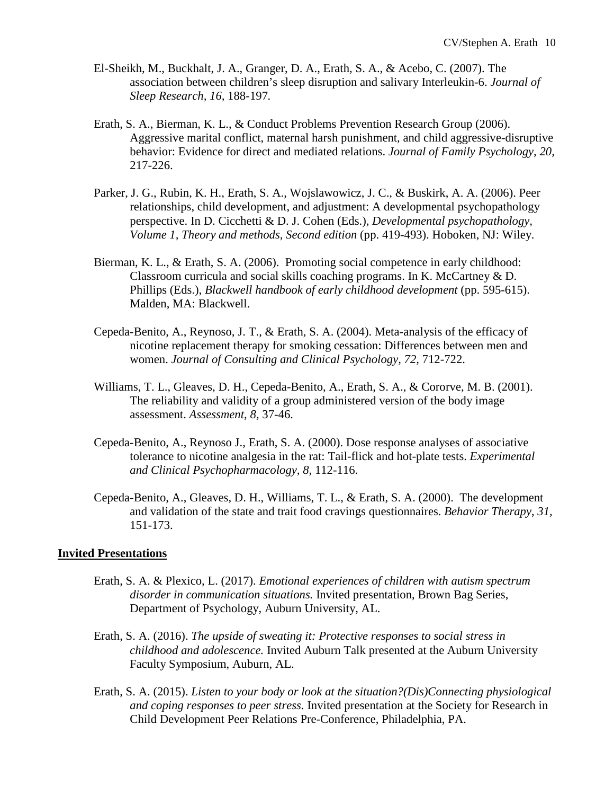- El-Sheikh, M., Buckhalt, J. A., Granger, D. A., Erath, S. A., & Acebo, C. (2007). The association between children's sleep disruption and salivary Interleukin-6. *Journal of Sleep Research, 16,* 188-197*.*
- Erath, S. A., Bierman, K. L., & Conduct Problems Prevention Research Group (2006). Aggressive marital conflict, maternal harsh punishment, and child aggressive-disruptive behavior: Evidence for direct and mediated relations. *Journal of Family Psychology, 20,*  217-226.
- Parker, J. G., Rubin, K. H., Erath, S. A., Wojslawowicz, J. C., & Buskirk, A. A. (2006). Peer relationships, child development, and adjustment: A developmental psychopathology perspective. In D. Cicchetti & D. J. Cohen (Eds.), *Developmental psychopathology, Volume 1, Theory and methods, Second edition* (pp. 419-493). Hoboken, NJ: Wiley.
- Bierman, K. L., & Erath, S. A. (2006). Promoting social competence in early childhood: Classroom curricula and social skills coaching programs. In K. McCartney & D. Phillips (Eds.), *Blackwell handbook of early childhood development* (pp. 595-615). Malden, MA: Blackwell.
- Cepeda-Benito, A., Reynoso, J. T., & Erath, S. A. (2004). Meta-analysis of the efficacy of nicotine replacement therapy for smoking cessation: Differences between men and women. *Journal of Consulting and Clinical Psychology, 72,* 712-722.
- Williams, T. L., Gleaves, D. H., Cepeda-Benito, A., Erath, S. A., & Cororve, M. B. (2001). The reliability and validity of a group administered version of the body image assessment. *Assessment*, *8,* 37-46.
- Cepeda-Benito, A., Reynoso J., Erath, S. A. (2000). Dose response analyses of associative tolerance to nicotine analgesia in the rat: Tail-flick and hot-plate tests. *Experimental and Clinical Psychopharmacology, 8,* 112-116.
- Cepeda-Benito, A., Gleaves, D. H., Williams, T. L., & Erath, S. A. (2000). The development and validation of the state and trait food cravings questionnaires. *Behavior Therapy*, *31,* 151-173.

#### **Invited Presentations**

- Erath, S. A. & Plexico, L. (2017). *Emotional experiences of children with autism spectrum disorder in communication situations.* Invited presentation, Brown Bag Series, Department of Psychology, Auburn University, AL.
- Erath, S. A. (2016). *The upside of sweating it: Protective responses to social stress in childhood and adolescence.* Invited Auburn Talk presented at the Auburn University Faculty Symposium, Auburn, AL.
- Erath, S. A. (2015). *Listen to your body or look at the situation?(Dis)Connecting physiological and coping responses to peer stress.* Invited presentation at the Society for Research in Child Development Peer Relations Pre-Conference, Philadelphia, PA.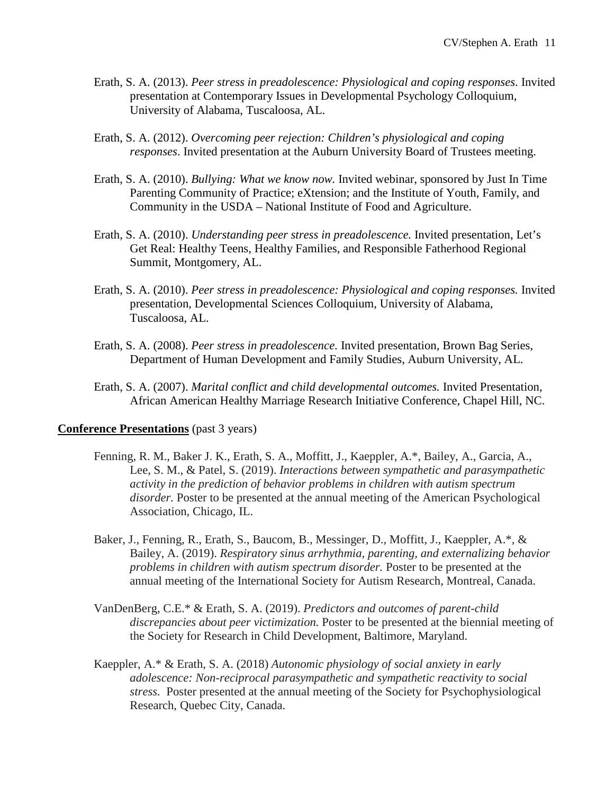- Erath, S. A. (2013). *Peer stress in preadolescence: Physiological and coping responses*. Invited presentation at Contemporary Issues in Developmental Psychology Colloquium, University of Alabama, Tuscaloosa, AL.
- Erath, S. A. (2012). *Overcoming peer rejection: Children's physiological and coping responses*. Invited presentation at the Auburn University Board of Trustees meeting.
- Erath, S. A. (2010). *Bullying: What we know now.* Invited webinar, sponsored by Just In Time Parenting Community of Practice; eXtension; and the Institute of Youth, Family, and Community in the USDA – National Institute of Food and Agriculture.
- Erath, S. A. (2010). *Understanding peer stress in preadolescence.* Invited presentation, Let's Get Real: Healthy Teens, Healthy Families, and Responsible Fatherhood Regional Summit, Montgomery, AL.
- Erath, S. A. (2010). *Peer stress in preadolescence: Physiological and coping responses.* Invited presentation, Developmental Sciences Colloquium, University of Alabama, Tuscaloosa, AL.
- Erath, S. A. (2008). *Peer stress in preadolescence.* Invited presentation, Brown Bag Series, Department of Human Development and Family Studies, Auburn University, AL.
- Erath, S. A. (2007). *Marital conflict and child developmental outcomes.* Invited Presentation, African American Healthy Marriage Research Initiative Conference, Chapel Hill, NC.

### **Conference Presentations** (past 3 years)

- Fenning, R. M., Baker J. K., Erath, S. A., Moffitt, J., Kaeppler, A.\*, Bailey, A., Garcia, A., Lee, S. M., & Patel, S. (2019). *Interactions between sympathetic and parasympathetic activity in the prediction of behavior problems in children with autism spectrum disorder.* Poster to be presented at the annual meeting of the American Psychological Association, Chicago, IL.
- Baker, J., Fenning, R., Erath, S., Baucom, B., Messinger, D., Moffitt, J., Kaeppler, A.\*, & Bailey, A. (2019). *Respiratory sinus arrhythmia, parenting, and externalizing behavior problems in children with autism spectrum disorder.* Poster to be presented at the annual meeting of the International Society for Autism Research, Montreal, Canada.
- VanDenBerg, C.E.\* & Erath, S. A. (2019). *Predictors and outcomes of parent-child discrepancies about peer victimization.* Poster to be presented at the biennial meeting of the Society for Research in Child Development, Baltimore, Maryland.
- Kaeppler, A.\* & Erath, S. A. (2018) *Autonomic physiology of social anxiety in early adolescence: Non-reciprocal parasympathetic and sympathetic reactivity to social stress.* Poster presented at the annual meeting of the Society for Psychophysiological Research, Quebec City, Canada.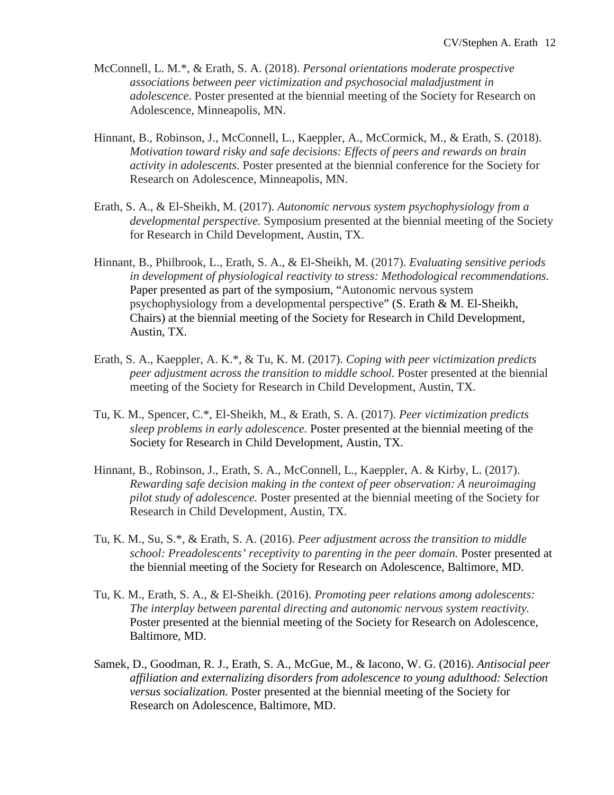- McConnell, L. M.\*, & Erath, S. A. (2018). *Personal orientations moderate prospective associations between peer victimization and psychosocial maladjustment in adolescence*. Poster presented at the biennial meeting of the Society for Research on Adolescence, Minneapolis, MN.
- Hinnant, B., Robinson, J., McConnell, L., Kaeppler, A., McCormick, M., & Erath, S. (2018). *Motivation toward risky and safe decisions: Effects of peers and rewards on brain activity in adolescents.* Poster presented at the biennial conference for the Society for Research on Adolescence, Minneapolis, MN.
- Erath, S. A., & El-Sheikh, M. (2017). *Autonomic nervous system psychophysiology from a developmental perspective.* Symposium presented at the biennial meeting of the Society for Research in Child Development, Austin, TX.
- Hinnant, B., Philbrook, L., Erath, S. A., & El-Sheikh, M. (2017). *Evaluating sensitive periods in development of physiological reactivity to stress: Methodological recommendations.* Paper presented as part of the symposium, "Autonomic nervous system psychophysiology from a developmental perspective" (S. Erath & M. El-Sheikh, Chairs) at the biennial meeting of the Society for Research in Child Development, Austin, TX.
- Erath, S. A., Kaeppler, A. K.\*, & Tu, K. M. (2017). *Coping with peer victimization predicts peer adjustment across the transition to middle school.* Poster presented at the biennial meeting of the Society for Research in Child Development, Austin, TX.
- Tu, K. M., Spencer, C.\*, El-Sheikh, M., & Erath, S. A. (2017). *Peer victimization predicts sleep problems in early adolescence.* Poster presented at the biennial meeting of the Society for Research in Child Development, Austin, TX.
- Hinnant, B., Robinson, J., Erath, S. A., McConnell, L., Kaeppler, A. & Kirby, L. (2017). *Rewarding safe decision making in the context of peer observation: A neuroimaging pilot study of adolescence.* Poster presented at the biennial meeting of the Society for Research in Child Development, Austin, TX.
- Tu, K. M., Su, S.\*, & Erath, S. A. (2016). *Peer adjustment across the transition to middle school: Preadolescents' receptivity to parenting in the peer domain.* Poster presented at the biennial meeting of the Society for Research on Adolescence, Baltimore, MD.
- Tu, K. M., Erath, S. A., & El-Sheikh. (2016). *Promoting peer relations among adolescents: The interplay between parental directing and autonomic nervous system reactivity.* Poster presented at the biennial meeting of the Society for Research on Adolescence, Baltimore, MD.
- Samek, D., Goodman, R. J., Erath, S. A., McGue, M., & Iacono, W. G. (2016). *Antisocial peer affiliation and externalizing disorders from adolescence to young adulthood: Selection versus socialization.* Poster presented at the biennial meeting of the Society for Research on Adolescence, Baltimore, MD.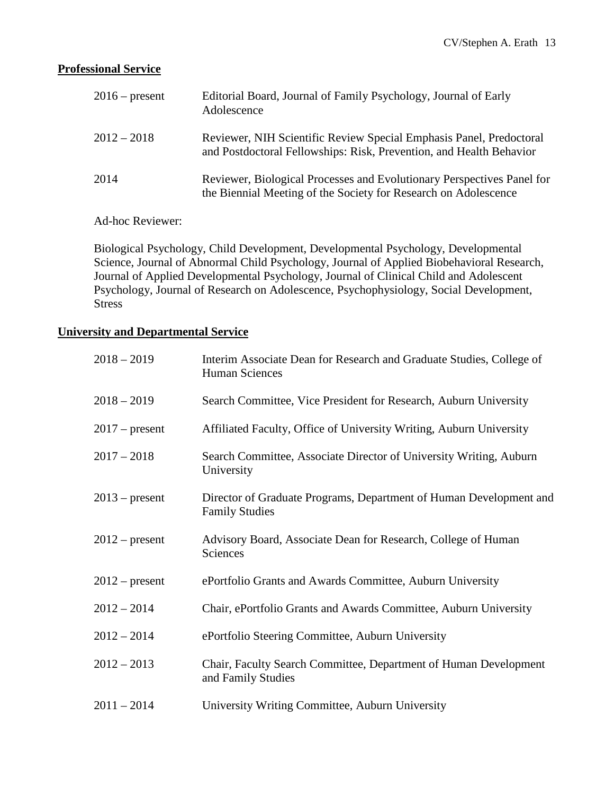# **Professional Service**

| $2016$ – present | Editorial Board, Journal of Family Psychology, Journal of Early<br>Adolescence                                                             |
|------------------|--------------------------------------------------------------------------------------------------------------------------------------------|
| $2012 - 2018$    | Reviewer, NIH Scientific Review Special Emphasis Panel, Predoctoral<br>and Postdoctoral Fellowships: Risk, Prevention, and Health Behavior |
| 2014             | Reviewer, Biological Processes and Evolutionary Perspectives Panel for<br>the Biennial Meeting of the Society for Research on Adolescence  |

Ad-hoc Reviewer:

Biological Psychology, Child Development, Developmental Psychology, Developmental Science, Journal of Abnormal Child Psychology, Journal of Applied Biobehavioral Research, Journal of Applied Developmental Psychology, Journal of Clinical Child and Adolescent Psychology, Journal of Research on Adolescence, Psychophysiology, Social Development, Stress

### **University and Departmental Service**

| $2018 - 2019$    | Interim Associate Dean for Research and Graduate Studies, College of<br><b>Human Sciences</b> |
|------------------|-----------------------------------------------------------------------------------------------|
| $2018 - 2019$    | Search Committee, Vice President for Research, Auburn University                              |
| $2017$ – present | Affiliated Faculty, Office of University Writing, Auburn University                           |
| $2017 - 2018$    | Search Committee, Associate Director of University Writing, Auburn<br>University              |
| $2013$ – present | Director of Graduate Programs, Department of Human Development and<br><b>Family Studies</b>   |
| $2012$ – present | Advisory Board, Associate Dean for Research, College of Human<br>Sciences                     |
| $2012$ – present | ePortfolio Grants and Awards Committee, Auburn University                                     |
| $2012 - 2014$    | Chair, ePortfolio Grants and Awards Committee, Auburn University                              |
| $2012 - 2014$    | ePortfolio Steering Committee, Auburn University                                              |
| $2012 - 2013$    | Chair, Faculty Search Committee, Department of Human Development<br>and Family Studies        |
| $2011 - 2014$    | University Writing Committee, Auburn University                                               |